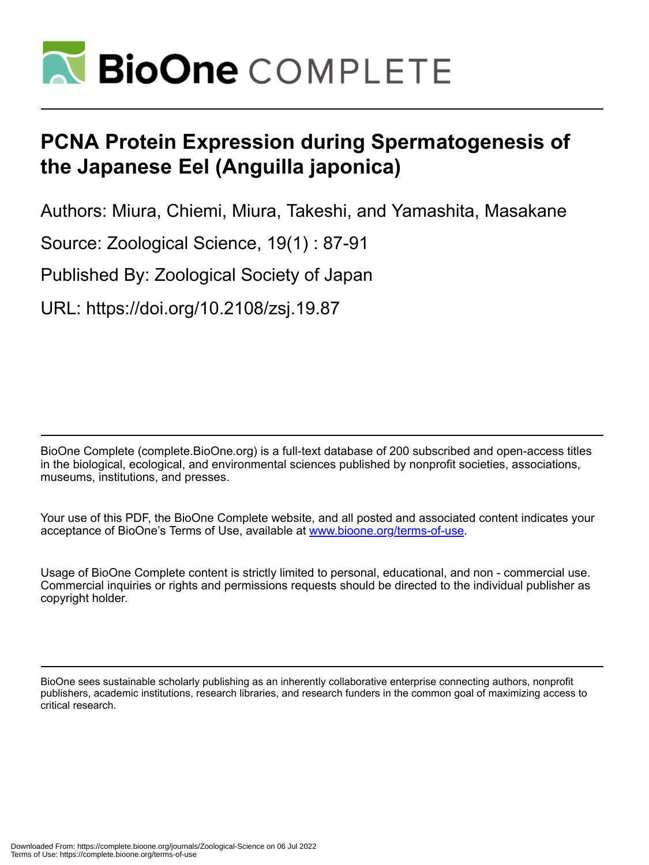

# **PCNA Protein Expression during Spermatogenesis of the Japanese Eel (Anguilla japonica)**

Authors: Miura, Chiemi, Miura, Takeshi, and Yamashita, Masakane

Source: Zoological Science, 19(1) : 87-91

Published By: Zoological Society of Japan

URL: https://doi.org/10.2108/zsj.19.87

BioOne Complete (complete.BioOne.org) is a full-text database of 200 subscribed and open-access titles in the biological, ecological, and environmental sciences published by nonprofit societies, associations, museums, institutions, and presses.

Your use of this PDF, the BioOne Complete website, and all posted and associated content indicates your acceptance of BioOne's Terms of Use, available at www.bioone.org/terms-of-use.

Usage of BioOne Complete content is strictly limited to personal, educational, and non - commercial use. Commercial inquiries or rights and permissions requests should be directed to the individual publisher as copyright holder.

BioOne sees sustainable scholarly publishing as an inherently collaborative enterprise connecting authors, nonprofit publishers, academic institutions, research libraries, and research funders in the common goal of maximizing access to critical research.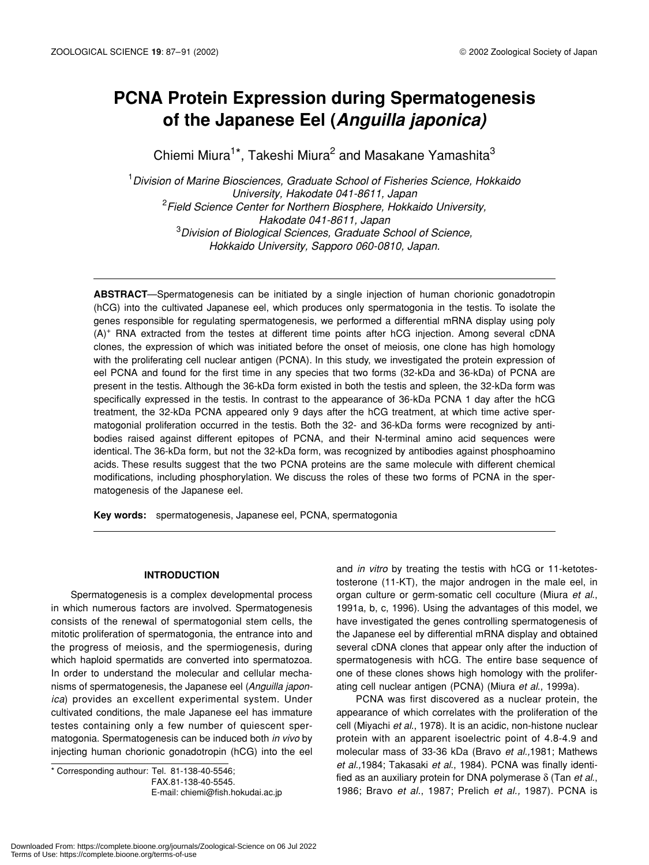# **PCNA Protein Expression during Spermatogenesis of the Japanese Eel (***Anguilla japonica)*

Chiemi Miura<sup>1\*</sup>, Takeshi Miura<sup>2</sup> and Masakane Yamashita<sup>3</sup>

1 *Division of Marine Biosciences, Graduate School of Fisheries Science, Hokkaido University, Hakodate 041-8611, Japan* 2 *Field Science Center for Northern Biosphere, Hokkaido University, Hakodate 041-8611, Japan* 3 *Division of Biological Sciences, Graduate School of Science, Hokkaido University, Sapporo 060-0810, Japan.*

**ABSTRACT**—Spermatogenesis can be initiated by a single injection of human chorionic gonadotropin (hCG) into the cultivated Japanese eel, which produces only spermatogonia in the testis. To isolate the genes responsible for regulating spermatogenesis, we performed a differential mRNA display using poly (A)<sup>+</sup> RNA extracted from the testes at different time points after hCG injection. Among several cDNA clones, the expression of which was initiated before the onset of meiosis, one clone has high homology with the proliferating cell nuclear antigen (PCNA). In this study, we investigated the protein expression of eel PCNA and found for the first time in any species that two forms (32-kDa and 36-kDa) of PCNA are present in the testis. Although the 36-kDa form existed in both the testis and spleen, the 32-kDa form was specifically expressed in the testis. In contrast to the appearance of 36-kDa PCNA 1 day after the hCG treatment, the 32-kDa PCNA appeared only 9 days after the hCG treatment, at which time active spermatogonial proliferation occurred in the testis. Both the 32- and 36-kDa forms were recognized by antibodies raised against different epitopes of PCNA, and their N-terminal amino acid sequences were identical. The 36-kDa form, but not the 32-kDa form, was recognized by antibodies against phosphoamino acids. These results suggest that the two PCNA proteins are the same molecule with different chemical modifications, including phosphorylation. We discuss the roles of these two forms of PCNA in the spermatogenesis of the Japanese eel.

**Key words:** spermatogenesis, Japanese eel, PCNA, spermatogonia

# **INTRODUCTION**

Spermatogenesis is a complex developmental process in which numerous factors are involved. Spermatogenesis consists of the renewal of spermatogonial stem cells, the mitotic proliferation of spermatogonia, the entrance into and the progress of meiosis, and the spermiogenesis, during which haploid spermatids are converted into spermatozoa. In order to understand the molecular and cellular mechanisms of spermatogenesis, the Japanese eel (*Anguilla japonica*) provides an excellent experimental system. Under cultivated conditions, the male Japanese eel has immature testes containing only a few number of quiescent spermatogonia. Spermatogenesis can be induced both *in vivo* by injecting human chorionic gonadotropin (hCG) into the eel

\* Corresponding authour: Tel. 81-138-40-5546;

E-mail: chiemi@fish.hokudai.ac.jp

and *in vitro* by treating the testis with hCG or 11-ketotestosterone (11-KT), the major androgen in the male eel, in organ culture or germ-somatic cell coculture (Miura *et al*., 1991a, b, c, 1996). Using the advantages of this model, we have investigated the genes controlling spermatogenesis of the Japanese eel by differential mRNA display and obtained several cDNA clones that appear only after the induction of spermatogenesis with hCG. The entire base sequence of one of these clones shows high homology with the proliferating cell nuclear antigen (PCNA) (Miura *et al*., 1999a).

PCNA was first discovered as a nuclear protein, the appearance of which correlates with the proliferation of the cell (Miyachi *et al*., 1978). It is an acidic, non-histone nuclear protein with an apparent isoelectric point of 4.8-4.9 and molecular mass of 33-36 kDa (Bravo *et al.,*1981; Mathews *et al.,*1984; Takasaki *et al*., 1984). PCNA was finally identified as an auxiliary protein for DNA polymerase δ (Tan *et al*., 1986; Bravo *et al*., 1987; Prelich *et al.,* 1987). PCNA is

FAX.81-138-40-5545.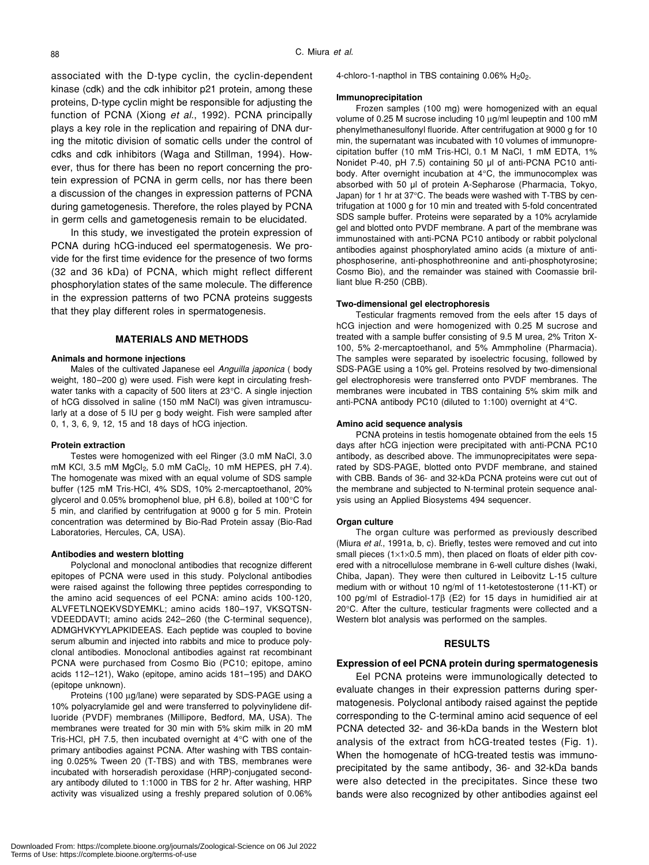associated with the D-type cyclin, the cyclin-dependent kinase (cdk) and the cdk inhibitor p21 protein, among these proteins, D-type cyclin might be responsible for adjusting the function of PCNA (Xiong *et al*., 1992). PCNA principally plays a key role in the replication and repairing of DNA during the mitotic division of somatic cells under the control of cdks and cdk inhibitors (Waga and Stillman, 1994). However, thus for there has been no report concerning the protein expression of PCNA in germ cells, nor has there been a discussion of the changes in expression patterns of PCNA during gametogenesis. Therefore, the roles played by PCNA in germ cells and gametogenesis remain to be elucidated.

In this study, we investigated the protein expression of PCNA during hCG-induced eel spermatogenesis. We provide for the first time evidence for the presence of two forms (32 and 36 kDa) of PCNA, which might reflect different phosphorylation states of the same molecule. The difference in the expression patterns of two PCNA proteins suggests that they play different roles in spermatogenesis.

## **MATERIALS AND METHODS**

# **Animals and hormone injections**

Males of the cultivated Japanese eel *Anguilla japonica* ( body weight, 180–200 g) were used. Fish were kept in circulating freshwater tanks with a capacity of 500 liters at 23°C. A single injection of hCG dissolved in saline (150 mM NaCl) was given intramuscularly at a dose of 5 IU per g body weight. Fish were sampled after 0, 1, 3, 6, 9, 12, 15 and 18 days of hCG injection.

#### **Protein extraction**

Testes were homogenized with eel Ringer (3.0 mM NaCl, 3.0 mM KCl, 3.5 mM MgCl<sub>2</sub>, 5.0 mM CaCl<sub>2</sub>, 10 mM HEPES, pH 7.4). The homogenate was mixed with an equal volume of SDS sample buffer (125 mM Tris-HCl, 4% SDS, 10% 2-mercaptoethanol, 20% glycerol and 0.05% bromophenol blue, pH 6.8), boiled at 100°C for 5 min, and clarified by centrifugation at 9000 g for 5 min. Protein concentration was determined by Bio-Rad Protein assay (Bio-Rad Laboratories, Hercules, CA, USA).

#### **Antibodies and western blotting**

Polyclonal and monoclonal antibodies that recognize different epitopes of PCNA were used in this study. Polyclonal antibodies were raised against the following three peptides corresponding to the amino acid sequences of eel PCNA: amino acids 100-120, ALVFETLNQEKVSDYEMKL; amino acids 180–197, VKSQTSN-VDEEDDAVTI; amino acids 242–260 (the C-terminal sequence), ADMGHVKYYLAPKIDEEAS. Each peptide was coupled to bovine serum albumin and injected into rabbits and mice to produce polyclonal antibodies. Monoclonal antibodies against rat recombinant PCNA were purchased from Cosmo Bio (PC10; epitope, amino acids 112–121), Wako (epitope, amino acids 181–195) and DAKO (epitope unknown).

Proteins (100 µg/lane) were separated by SDS-PAGE using a 10% polyacrylamide gel and were transferred to polyvinylidene difluoride (PVDF) membranes (Millipore, Bedford, MA, USA). The membranes were treated for 30 min with 5% skim milk in 20 mM Tris-HCl, pH 7.5, then incubated overnight at 4°C with one of the primary antibodies against PCNA. After washing with TBS containing 0.025% Tween 20 (T-TBS) and with TBS, membranes were incubated with horseradish peroxidase (HRP)-conjugated secondary antibody diluted to 1:1000 in TBS for 2 hr. After washing, HRP activity was visualized using a freshly prepared solution of 0.06% 4-chloro-1-napthol in TBS containing 0.06% H<sub>2</sub>0<sub>2</sub>.

#### **Immunoprecipitation**

Frozen samples (100 mg) were homogenized with an equal volume of 0.25 M sucrose including 10 µg/ml leupeptin and 100 mM phenylmethanesulfonyl fluoride. After centrifugation at 9000 g for 10 min, the supernatant was incubated with 10 volumes of immunoprecipitation buffer (10 mM Tris-HCl, 0.1 M NaCl, 1 mM EDTA, 1% Nonidet P-40, pH 7.5) containing 50 µl of anti-PCNA PC10 antibody. After overnight incubation at 4°C, the immunocomplex was absorbed with 50 µl of protein A-Sepharose (Pharmacia, Tokyo, Japan) for 1 hr at 37°C. The beads were washed with T-TBS by centrifugation at 1000 g for 10 min and treated with 5-fold concentrated SDS sample buffer. Proteins were separated by a 10% acrylamide gel and blotted onto PVDF membrane. A part of the membrane was immunostained with anti-PCNA PC10 antibody or rabbit polyclonal antibodies against phosphorylated amino acids (a mixture of antiphosphoserine, anti-phosphothreonine and anti-phosphotyrosine; Cosmo Bio), and the remainder was stained with Coomassie brilliant blue R-250 (CBB).

#### **Two-dimensional gel electrophoresis**

Testicular fragments removed from the eels after 15 days of hCG injection and were homogenized with 0.25 M sucrose and treated with a sample buffer consisting of 9.5 M urea, 2% Triton X-100, 5% 2-mercaptoethanol, and 5% Ammpholine (Pharmacia). The samples were separated by isoelectric focusing, followed by SDS-PAGE using a 10% gel. Proteins resolved by two-dimensional gel electrophoresis were transferred onto PVDF membranes. The membranes were incubated in TBS containing 5% skim milk and anti-PCNA antibody PC10 (diluted to 1:100) overnight at 4°C.

#### **Amino acid sequence analysis**

PCNA proteins in testis homogenate obtained from the eels 15 days after hCG injection were precipitated with anti-PCNA PC10 antibody, as described above. The immunoprecipitates were separated by SDS-PAGE, blotted onto PVDF membrane, and stained with CBB. Bands of 36- and 32-kDa PCNA proteins were cut out of the membrane and subjected to N-terminal protein sequence analysis using an Applied Biosystems 494 sequencer.

#### **Organ culture**

The organ culture was performed as previously described (Miura *et al*., 1991a, b, c). Briefly, testes were removed and cut into small pieces (1×1×0.5 mm), then placed on floats of elder pith covered with a nitrocellulose membrane in 6-well culture dishes (Iwaki, Chiba, Japan). They were then cultured in Leibovitz L-15 culture medium with or without 10 ng/ml of 11-ketotestosterone (11-KT) or 100 pg/ml of Estradiol-17β (E2) for 15 days in humidified air at 20°C. After the culture, testicular fragments were collected and a Western blot analysis was performed on the samples.

## **RESULTS**

#### **Expression of eel PCNA protein during spermatogenesis**

Eel PCNA proteins were immunologically detected to evaluate changes in their expression patterns during spermatogenesis. Polyclonal antibody raised against the peptide corresponding to the C-terminal amino acid sequence of eel PCNA detected 32- and 36-kDa bands in the Western blot analysis of the extract from hCG-treated testes (Fig. 1). When the homogenate of hCG-treated testis was immunoprecipitated by the same antibody, 36- and 32-kDa bands were also detected in the precipitates. Since these two bands were also recognized by other antibodies against eel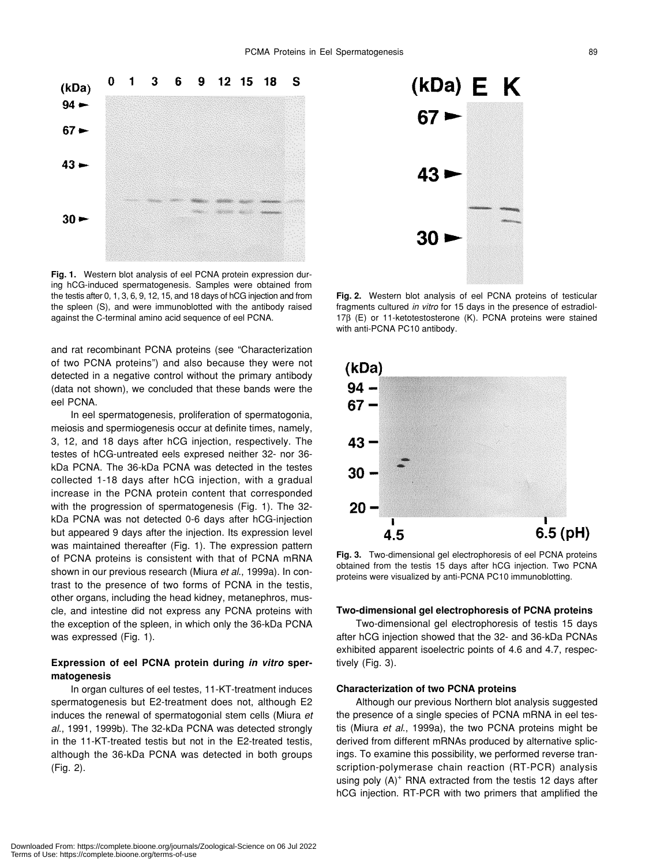

**Fig. 1.** Western blot analysis of eel PCNA protein expression during hCG-induced spermatogenesis. Samples were obtained from the testis after 0, 1, 3, 6, 9, 12, 15, and 18 days of hCG injection and from the spleen (S), and were immunoblotted with the antibody raised against the C-terminal amino acid sequence of eel PCNA.

and rat recombinant PCNA proteins (see "Characterization of two PCNA proteins") and also because they were not detected in a negative control without the primary antibody (data not shown), we concluded that these bands were the eel PCNA.

In eel spermatogenesis, proliferation of spermatogonia, meiosis and spermiogenesis occur at definite times, namely, 3, 12, and 18 days after hCG injection, respectively. The testes of hCG-untreated eels expresed neither 32- nor 36 kDa PCNA. The 36-kDa PCNA was detected in the testes collected 1-18 days after hCG injection, with a gradual increase in the PCNA protein content that corresponded with the progression of spermatogenesis (Fig. 1). The 32 kDa PCNA was not detected 0-6 days after hCG-injection but appeared 9 days after the injection. Its expression level was maintained thereafter (Fig. 1). The expression pattern of PCNA proteins is consistent with that of PCNA mRNA shown in our previous research (Miura *et al*., 1999a). In contrast to the presence of two forms of PCNA in the testis, other organs, including the head kidney, metanephros, muscle, and intestine did not express any PCNA proteins with the exception of the spleen, in which only the 36-kDa PCNA was expressed (Fig. 1).

# **Expression of eel PCNA protein during** *in vitro* **spermatogenesis**

In organ cultures of eel testes, 11-KT-treatment induces spermatogenesis but E2-treatment does not, although E2 induces the renewal of spermatogonial stem cells (Miura *et al*., 1991, 1999b). The 32-kDa PCNA was detected strongly in the 11-KT-treated testis but not in the E2-treated testis, although the 36-kDa PCNA was detected in both groups (Fig. 2).



**Fig. 2.** Western blot analysis of eel PCNA proteins of testicular fragments cultured *in vitro* for 15 days in the presence of estradiol-17β (E) or 11-ketotestosterone (K). PCNA proteins were stained with anti-PCNA PC10 antibody.



**Fig. 3.** Two-dimensional gel electrophoresis of eel PCNA proteins obtained from the testis 15 days after hCG injection. Two PCNA proteins were visualized by anti-PCNA PC10 immunoblotting.

#### **Two-dimensional gel electrophoresis of PCNA proteins**

Two-dimensional gel electrophoresis of testis 15 days after hCG injection showed that the 32- and 36-kDa PCNAs exhibited apparent isoelectric points of 4.6 and 4.7, respectively (Fig. 3).

#### **Characterization of two PCNA proteins**

Although our previous Northern blot analysis suggested the presence of a single species of PCNA mRNA in eel testis (Miura *et al*., 1999a), the two PCNA proteins might be derived from different mRNAs produced by alternative splicings. To examine this possibility, we performed reverse transcription-polymerase chain reaction (RT-PCR) analysis using poly  $(A)^+$  RNA extracted from the testis 12 days after hCG injection. RT-PCR with two primers that amplified the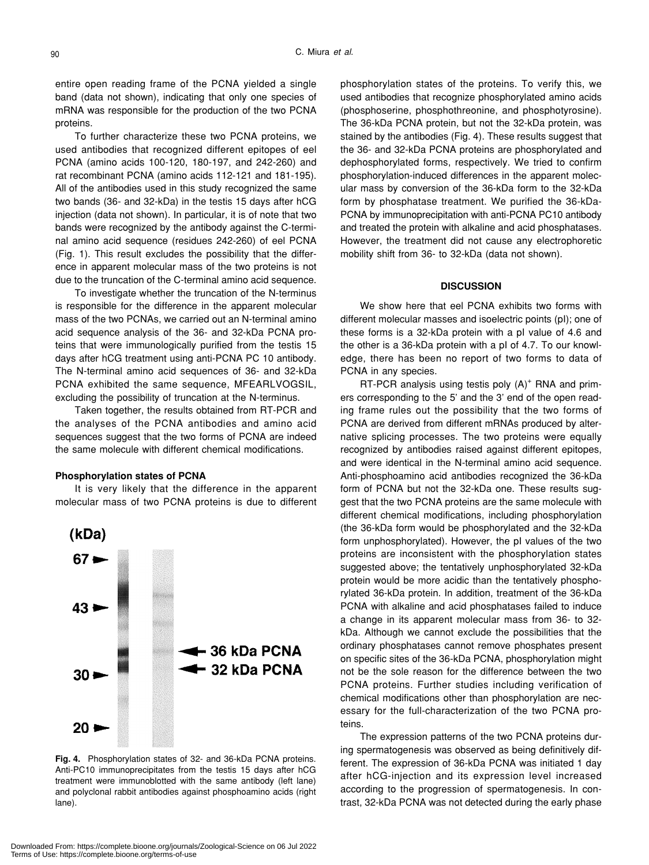entire open reading frame of the PCNA yielded a single band (data not shown), indicating that only one species of mRNA was responsible for the production of the two PCNA proteins.

To further characterize these two PCNA proteins, we used antibodies that recognized different epitopes of eel PCNA (amino acids 100-120, 180-197, and 242-260) and rat recombinant PCNA (amino acids 112-121 and 181-195). All of the antibodies used in this study recognized the same two bands (36- and 32-kDa) in the testis 15 days after hCG injection (data not shown). In particular, it is of note that two bands were recognized by the antibody against the C-terminal amino acid sequence (residues 242-260) of eel PCNA (Fig. 1). This result excludes the possibility that the difference in apparent molecular mass of the two proteins is not due to the truncation of the C-terminal amino acid sequence.

To investigate whether the truncation of the N-terminus is responsible for the difference in the apparent molecular mass of the two PCNAs, we carried out an N-terminal amino acid sequence analysis of the 36- and 32-kDa PCNA proteins that were immunologically purified from the testis 15 days after hCG treatment using anti-PCNA PC 10 antibody. The N-terminal amino acid sequences of 36- and 32-kDa PCNA exhibited the same sequence, MFEARLVOGSIL, excluding the possibility of truncation at the N-terminus.

Taken together, the results obtained from RT-PCR and the analyses of the PCNA antibodies and amino acid sequences suggest that the two forms of PCNA are indeed the same molecule with different chemical modifications.

# **Phosphorylation states of PCNA**

It is very likely that the difference in the apparent molecular mass of two PCNA proteins is due to different



**Fig. 4.** Phosphorylation states of 32- and 36-kDa PCNA proteins. Anti-PC10 immunoprecipitates from the testis 15 days after hCG treatment were immunoblotted with the same antibody (left lane) and polyclonal rabbit antibodies against phosphoamino acids (right lane).

phosphorylation states of the proteins. To verify this, we used antibodies that recognize phosphorylated amino acids (phosphoserine, phosphothreonine, and phosphotyrosine). The 36-kDa PCNA protein, but not the 32-kDa protein, was stained by the antibodies (Fig. 4). These results suggest that the 36- and 32-kDa PCNA proteins are phosphorylated and dephosphorylated forms, respectively. We tried to confirm phosphorylation-induced differences in the apparent molecular mass by conversion of the 36-kDa form to the 32-kDa form by phosphatase treatment. We purified the 36-kDa-PCNA by immunoprecipitation with anti-PCNA PC10 antibody and treated the protein with alkaline and acid phosphatases. However, the treatment did not cause any electrophoretic mobility shift from 36- to 32-kDa (data not shown).

### **DISCUSSION**

We show here that eel PCNA exhibits two forms with different molecular masses and isoelectric points (pI); one of these forms is a 32-kDa protein with a pI value of 4.6 and the other is a 36-kDa protein with a pI of 4.7. To our knowledge, there has been no report of two forms to data of PCNA in any species.

 $RT$ -PCR analysis using testis poly  $(A)^+$  RNA and primers corresponding to the 5' and the 3' end of the open reading frame rules out the possibility that the two forms of PCNA are derived from different mRNAs produced by alternative splicing processes. The two proteins were equally recognized by antibodies raised against different epitopes, and were identical in the N-terminal amino acid sequence. Anti-phosphoamino acid antibodies recognized the 36-kDa form of PCNA but not the 32-kDa one. These results suggest that the two PCNA proteins are the same molecule with different chemical modifications, including phosphorylation (the 36-kDa form would be phosphorylated and the 32-kDa form unphosphorylated). However, the pI values of the two proteins are inconsistent with the phosphorylation states suggested above; the tentatively unphosphorylated 32-kDa protein would be more acidic than the tentatively phosphorylated 36-kDa protein. In addition, treatment of the 36-kDa PCNA with alkaline and acid phosphatases failed to induce a change in its apparent molecular mass from 36- to 32 kDa. Although we cannot exclude the possibilities that the ordinary phosphatases cannot remove phosphates present on specific sites of the 36-kDa PCNA, phosphorylation might not be the sole reason for the difference between the two PCNA proteins. Further studies including verification of chemical modifications other than phosphorylation are necessary for the full-characterization of the two PCNA proteins.

The expression patterns of the two PCNA proteins during spermatogenesis was observed as being definitively different. The expression of 36-kDa PCNA was initiated 1 day after hCG-injection and its expression level increased according to the progression of spermatogenesis. In contrast, 32-kDa PCNA was not detected during the early phase